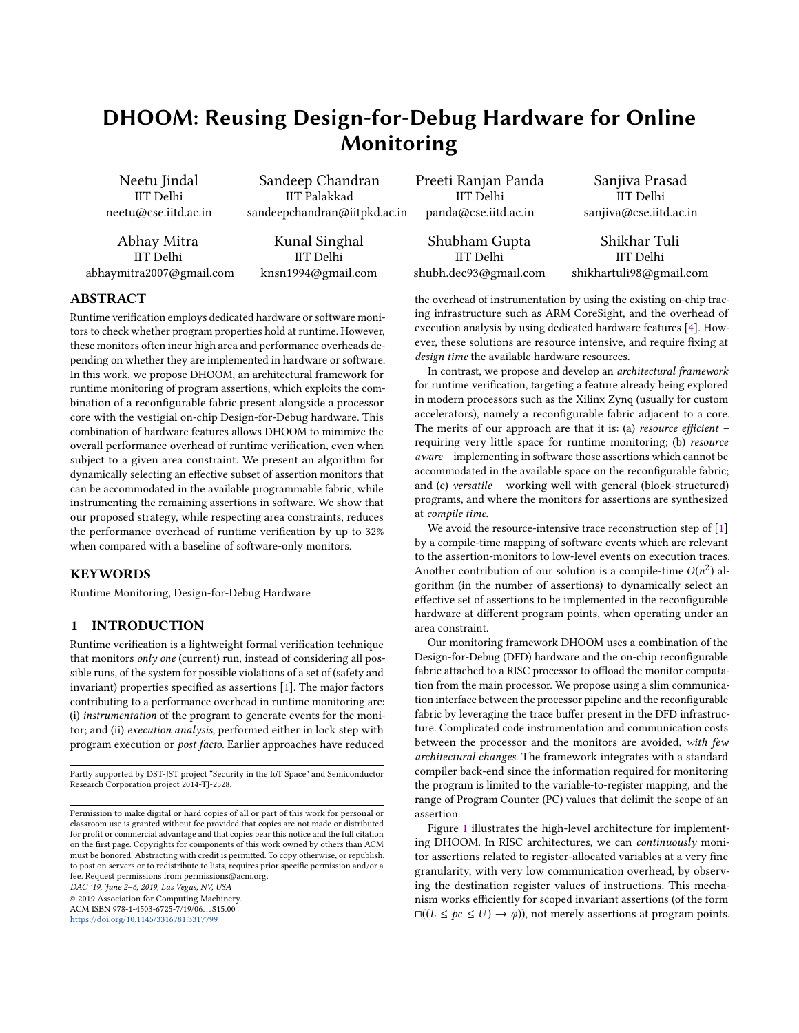# DHOOM: Reusing Design-for-Debug Hardware for Online Monitoring

Neetu Jindal IIT Delhi neetu@cse.iitd.ac.in

Sandeep Chandran IIT Palakkad sandeepchandran@iitpkd.ac.in

Abhay Mitra IIT Delhi abhaymitra2007@gmail.com

Kunal Singhal IIT Delhi knsn1994@gmail.com Preeti Ranjan Panda IIT Delhi panda@cse.iitd.ac.in

Shubham Gupta IIT Delhi shubh.dec93@gmail.com

Sanjiva Prasad IIT Delhi sanjiva@cse.iitd.ac.in

Shikhar Tuli IIT Delhi shikhartuli98@gmail.com

ABSTRACT

Runtime verification employs dedicated hardware or software monitors to check whether program properties hold at runtime. However, these monitors often incur high area and performance overheads depending on whether they are implemented in hardware or software. In this work, we propose DHOOM, an architectural framework for runtime monitoring of program assertions, which exploits the combination of a reconfigurable fabric present alongside a processor core with the vestigial on-chip Design-for-Debug hardware. This combination of hardware features allows DHOOM to minimize the overall performance overhead of runtime verification, even when subject to a given area constraint. We present an algorithm for dynamically selecting an effective subset of assertion monitors that can be accommodated in the available programmable fabric, while instrumenting the remaining assertions in software. We show that our proposed strategy, while respecting area constraints, reduces the performance overhead of runtime verification by up to 32% when compared with a baseline of software-only monitors.

# KEYWORDS

Runtime Monitoring, Design-for-Debug Hardware

# 1 INTRODUCTION

Runtime verification is a lightweight formal verification technique that monitors only one (current) run, instead of considering all possible runs, of the system for possible violations of a set of (safety and invariant) properties specified as assertions [\[1\]](#page-5-0). The major factors contributing to a performance overhead in runtime monitoring are: (i) instrumentation of the program to generate events for the monitor; and (ii) execution analysis, performed either in lock step with program execution or post facto. Earlier approaches have reduced

Partly supported by DST-JST project "Security in the IoT Space" and Semiconductor Research Corporation project 2014-TJ-2528.

DAC '19, June 2–6, 2019, Las Vegas, NV, USA

© 2019 Association for Computing Machinery. ACM ISBN 978-1-4503-6725-7/19/06. . . \$15.00 <https://doi.org/10.1145/3316781.3317799>

ing infrastructure such as ARM CoreSight, and the overhead of execution analysis by using dedicated hardware features [\[4\]](#page-5-1). However, these solutions are resource intensive, and require fixing at design time the available hardware resources. In contrast, we propose and develop an architectural framework for runtime verification, targeting a feature already being explored

the overhead of instrumentation by using the existing on-chip trac-

in modern processors such as the Xilinx Zynq (usually for custom accelerators), namely a reconfigurable fabric adjacent to a core. The merits of our approach are that it is: (a) resource efficient  $$ requiring very little space for runtime monitoring; (b) resource aware – implementing in software those assertions which cannot be accommodated in the available space on the reconfigurable fabric; and (c) versatile – working well with general (block-structured) programs, and where the monitors for assertions are synthesized at compile time.

We avoid the resource-intensive trace reconstruction step of [\[1\]](#page-5-0) by a compile-time mapping of software events which are relevant to the assertion-monitors to low-level events on execution traces. Another contribution of our solution is a compile-time  $O(n^2)$  algorithm (in the number of assertions) to dynamically select an gorithm (in the number of assertions) to dynamically select an effective set of assertions to be implemented in the reconfigurable hardware at different program points, when operating under an area constraint.

Our monitoring framework DHOOM uses a combination of the Design-for-Debug (DFD) hardware and the on-chip reconfigurable fabric attached to a RISC processor to offload the monitor computation from the main processor. We propose using a slim communication interface between the processor pipeline and the reconfigurable fabric by leveraging the trace buffer present in the DFD infrastructure. Complicated code instrumentation and communication costs between the processor and the monitors are avoided, with few architectural changes. The framework integrates with a standard compiler back-end since the information required for monitoring the program is limited to the variable-to-register mapping, and the range of Program Counter (PC) values that delimit the scope of an assertion.

Figure [1](#page-1-0) illustrates the high-level architecture for implementing DHOOM. In RISC architectures, we can continuously monitor assertions related to register-allocated variables at a very fine granularity, with very low communication overhead, by observing the destination register values of instructions. This mechanism works efficiently for scoped invariant assertions (of the form  $\Box((L \le pc \le U) \rightarrow \varphi)$ , not merely assertions at program points.

Permission to make digital or hard copies of all or part of this work for personal or classroom use is granted without fee provided that copies are not made or distributed for profit or commercial advantage and that copies bear this notice and the full citation on the first page. Copyrights for components of this work owned by others than ACM must be honored. Abstracting with credit is permitted. To copy otherwise, or republish, to post on servers or to redistribute to lists, requires prior specific permission and/or a fee. Request permissions from permissions@acm.org.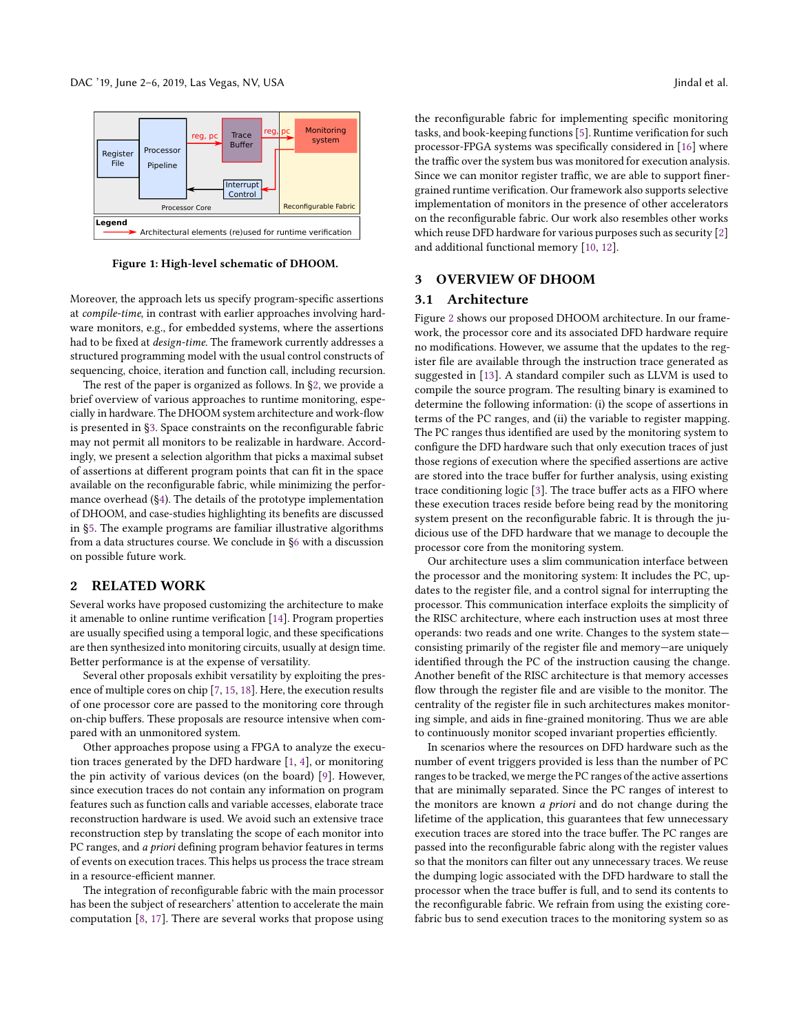<span id="page-1-0"></span>

Figure 1: High-level schematic of DHOOM.

Moreover, the approach lets us specify program-specific assertions at compile-time, in contrast with earlier approaches involving hardware monitors, e.g., for embedded systems, where the assertions had to be fixed at design-time. The framework currently addresses a structured programming model with the usual control constructs of sequencing, choice, iteration and function call, including recursion.

The rest of the paper is organized as follows. In [§2,](#page-1-1) we provide a brief overview of various approaches to runtime monitoring, especially in hardware. The DHOOM system architecture and work-flow is presented in [§3.](#page-1-2) Space constraints on the reconfigurable fabric may not permit all monitors to be realizable in hardware. Accordingly, we present a selection algorithm that picks a maximal subset of assertions at different program points that can fit in the space available on the reconfigurable fabric, while minimizing the performance overhead ([§4\)](#page-3-0). The details of the prototype implementation of DHOOM, and case-studies highlighting its benefits are discussed in [§5.](#page-4-0) The example programs are familiar illustrative algorithms from a data structures course. We conclude in [§6](#page-5-2) with a discussion on possible future work.

#### <span id="page-1-1"></span>2 RELATED WORK

Several works have proposed customizing the architecture to make it amenable to online runtime verification [\[14\]](#page-5-3). Program properties are usually specified using a temporal logic, and these specifications are then synthesized into monitoring circuits, usually at design time. Better performance is at the expense of versatility.

Several other proposals exhibit versatility by exploiting the presence of multiple cores on chip [\[7,](#page-5-4) [15,](#page-5-5) [18\]](#page-5-6). Here, the execution results of one processor core are passed to the monitoring core through on-chip buffers. These proposals are resource intensive when compared with an unmonitored system.

Other approaches propose using a FPGA to analyze the execution traces generated by the DFD hardware [\[1,](#page-5-0) [4\]](#page-5-1), or monitoring the pin activity of various devices (on the board) [\[9\]](#page-5-7). However, since execution traces do not contain any information on program features such as function calls and variable accesses, elaborate trace reconstruction hardware is used. We avoid such an extensive trace reconstruction step by translating the scope of each monitor into PC ranges, and a priori defining program behavior features in terms of events on execution traces. This helps us process the trace stream in a resource-efficient manner.

The integration of reconfigurable fabric with the main processor has been the subject of researchers' attention to accelerate the main computation [\[8,](#page-5-8) [17\]](#page-5-9). There are several works that propose using the reconfigurable fabric for implementing specific monitoring tasks, and book-keeping functions [\[5\]](#page-5-10). Runtime verification for such processor-FPGA systems was specifically considered in [\[16\]](#page-5-11) where the traffic over the system bus was monitored for execution analysis. Since we can monitor register traffic, we are able to support finergrained runtime verification. Our framework also supports selective implementation of monitors in the presence of other accelerators on the reconfigurable fabric. Our work also resembles other works which reuse DFD hardware for various purposes such as security [\[2\]](#page-5-12) and additional functional memory [\[10,](#page-5-13) [12\]](#page-5-14).

# <span id="page-1-2"></span>3 OVERVIEW OF DHOOM

### 3.1 Architecture

Figure [2](#page-2-0) shows our proposed DHOOM architecture. In our framework, the processor core and its associated DFD hardware require no modifications. However, we assume that the updates to the register file are available through the instruction trace generated as suggested in [\[13\]](#page-5-15). A standard compiler such as LLVM is used to compile the source program. The resulting binary is examined to determine the following information: (i) the scope of assertions in terms of the PC ranges, and (ii) the variable to register mapping. The PC ranges thus identified are used by the monitoring system to configure the DFD hardware such that only execution traces of just those regions of execution where the specified assertions are active are stored into the trace buffer for further analysis, using existing trace conditioning logic [\[3\]](#page-5-16). The trace buffer acts as a FIFO where these execution traces reside before being read by the monitoring system present on the reconfigurable fabric. It is through the judicious use of the DFD hardware that we manage to decouple the processor core from the monitoring system.

Our architecture uses a slim communication interface between the processor and the monitoring system: It includes the PC, updates to the register file, and a control signal for interrupting the processor. This communication interface exploits the simplicity of the RISC architecture, where each instruction uses at most three operands: two reads and one write. Changes to the system state consisting primarily of the register file and memory—are uniquely identified through the PC of the instruction causing the change. Another benefit of the RISC architecture is that memory accesses flow through the register file and are visible to the monitor. The centrality of the register file in such architectures makes monitoring simple, and aids in fine-grained monitoring. Thus we are able to continuously monitor scoped invariant properties efficiently.

In scenarios where the resources on DFD hardware such as the number of event triggers provided is less than the number of PC ranges to be tracked, we merge the PC ranges of the active assertions that are minimally separated. Since the PC ranges of interest to the monitors are known a priori and do not change during the lifetime of the application, this guarantees that few unnecessary execution traces are stored into the trace buffer. The PC ranges are passed into the reconfigurable fabric along with the register values so that the monitors can filter out any unnecessary traces. We reuse the dumping logic associated with the DFD hardware to stall the processor when the trace buffer is full, and to send its contents to the reconfigurable fabric. We refrain from using the existing corefabric bus to send execution traces to the monitoring system so as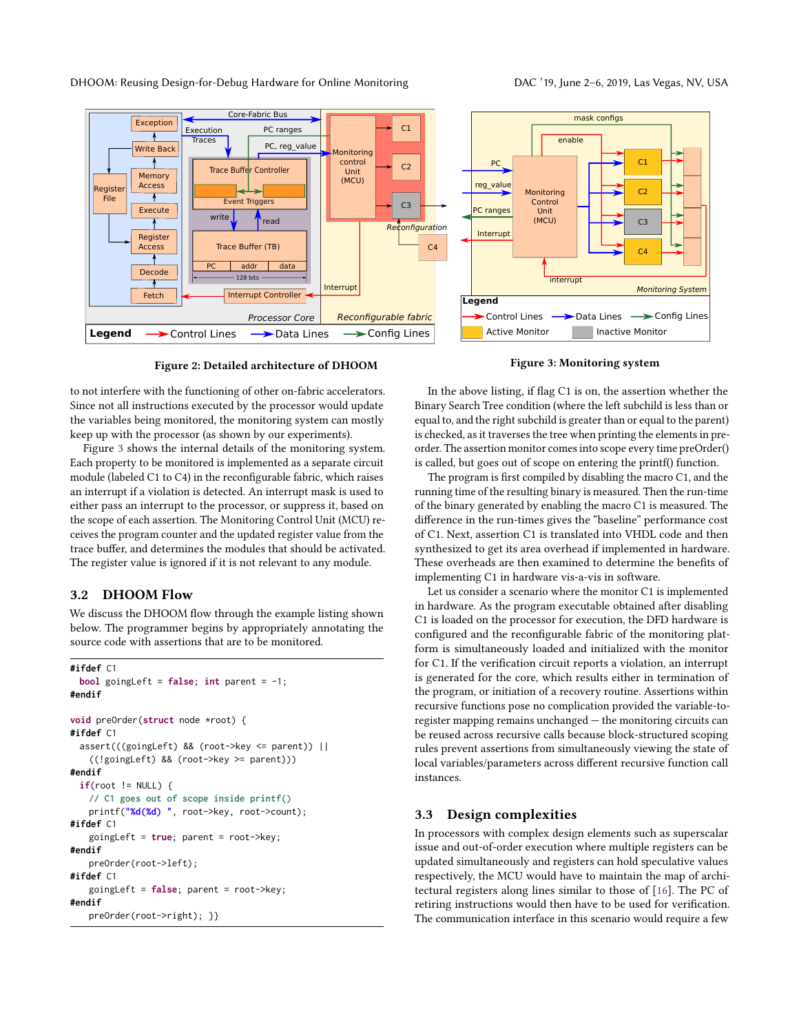DHOOM: Reusing Design-for-Debug Hardware for Online Monitoring DAC '19, June 2–6, 2019, Las Vegas, NV, USA

<span id="page-2-0"></span>

Figure 2: Detailed architecture of DHOOM

to not interfere with the functioning of other on-fabric accelerators. Since not all instructions executed by the processor would update the variables being monitored, the monitoring system can mostly keep up with the processor (as shown by our experiments).

Figure [3](#page-2-0) shows the internal details of the monitoring system. Each property to be monitored is implemented as a separate circuit module (labeled C1 to C4) in the reconfigurable fabric, which raises an interrupt if a violation is detected. An interrupt mask is used to either pass an interrupt to the processor, or suppress it, based on the scope of each assertion. The Monitoring Control Unit (MCU) receives the program counter and the updated register value from the trace buffer, and determines the modules that should be activated. The register value is ignored if it is not relevant to any module.

# 3.2 DHOOM Flow

We discuss the DHOOM flow through the example listing shown below. The programmer begins by appropriately annotating the source code with assertions that are to be monitored.

```
#ifdef C1
 bool goingLeft = false; int parent = -1;
#endif
void preOrder(struct node *root) {
#ifdef C1
 assert(((goingLeft) && (root->key <= parent)) ||
   ((!goingLeft) && (root->key >= parent)))
#endif
  if(root != NULL) {// C1 goes out of scope inside printf()
   printf("%d(%d) ", root->key, root->count);
#ifdef C1
   goingLeft = true; parent = root->key;
#endif
   preOrder(root->left);
#ifdef C1
   goingLeft = false; parent = root->key;
#endif
   preOrder(root->right); }}
```


#### Figure 3: Monitoring system

In the above listing, if flag C1 is on, the assertion whether the Binary Search Tree condition (where the left subchild is less than or equal to, and the right subchild is greater than or equal to the parent) is checked, as it traverses the tree when printing the elements in preorder. The assertion monitor comes into scope every time preOrder() is called, but goes out of scope on entering the printf() function.

The program is first compiled by disabling the macro C1, and the running time of the resulting binary is measured. Then the run-time of the binary generated by enabling the macro C1 is measured. The difference in the run-times gives the "baseline" performance cost of C1. Next, assertion C1 is translated into VHDL code and then synthesized to get its area overhead if implemented in hardware. These overheads are then examined to determine the benefits of implementing C1 in hardware vis-a-vis in software.

Let us consider a scenario where the monitor C1 is implemented in hardware. As the program executable obtained after disabling C1 is loaded on the processor for execution, the DFD hardware is configured and the reconfigurable fabric of the monitoring platform is simultaneously loaded and initialized with the monitor for C1. If the verification circuit reports a violation, an interrupt is generated for the core, which results either in termination of the program, or initiation of a recovery routine. Assertions within recursive functions pose no complication provided the variable-toregister mapping remains unchanged — the monitoring circuits can be reused across recursive calls because block-structured scoping rules prevent assertions from simultaneously viewing the state of local variables/parameters across different recursive function call instances.

# 3.3 Design complexities

In processors with complex design elements such as superscalar issue and out-of-order execution where multiple registers can be updated simultaneously and registers can hold speculative values respectively, the MCU would have to maintain the map of architectural registers along lines similar to those of [\[16\]](#page-5-11). The PC of retiring instructions would then have to be used for verification. The communication interface in this scenario would require a few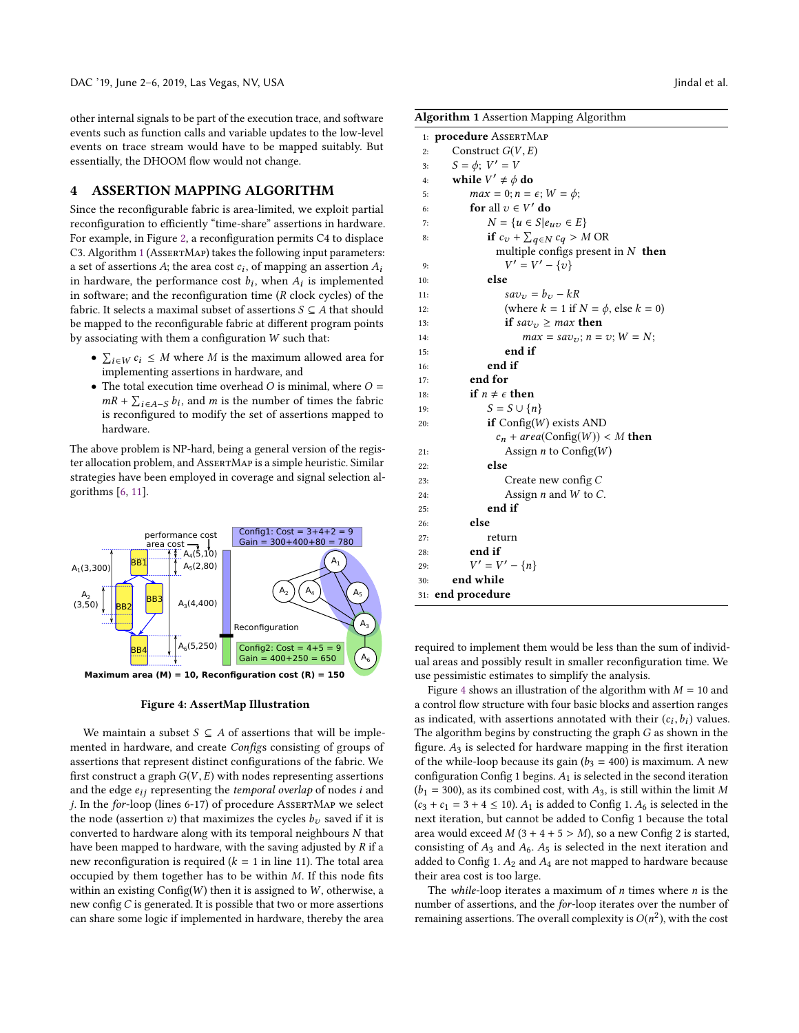other internal signals to be part of the execution trace, and software events such as function calls and variable updates to the low-level events on trace stream would have to be mapped suitably. But essentially, the DHOOM flow would not change.

## <span id="page-3-0"></span>4 ASSERTION MAPPING ALGORITHM

Since the reconfigurable fabric is area-limited, we exploit partial reconfiguration to efficiently "time-share" assertions in hardware. For example, in Figure [2,](#page-2-0) a reconfiguration permits C4 to displace C3. Algorithm [1](#page-3-1) (AssertMap) takes the following input parameters: a set of assertions A; the area cost  $c_i$ , of mapping an assertion  $A_i$ <br>in hardware, the performance cost  $b_i$ , when  $A_i$  is implemented in hardware, the performance cost  $b_i$ , when  $A_i$  is implemented<br>in software; and the reconfiguration time (*B* clock cycles) of the in software; and the reconfiguration time  $(R \text{ clock cycles})$  of the fabric. It selects a maximal subset of assertions  $S \subseteq A$  that should be mapped to the reconfigurable fabric at different program points by associating with them a configuration  $W$  such that:

- $\sum_{i \in W} c_i \leq M$  where M is the maximum allowed area for implementing assertions in hardware, and implementing assertions in hardware, and
- The total execution time overhead  $O$  is minimal, where  $O =$  $mR + \sum_{i \in A-S} b_i$ , and m is the number of times the fabric is reconfigured to modify the set of assertions manned to  $mK + \sum_{i \in A-S} b_i$ , and *m* is the number of times the fabric<br>is reconfigured to modify the set of assertions mapped to hardware.

The above problem is NP-hard, being a general version of the register allocation problem, and AssertMap is a simple heuristic. Similar strategies have been employed in coverage and signal selection algorithms  $[6, 11]$  $[6, 11]$  $[6, 11]$ .

<span id="page-3-2"></span>

#### Figure 4: AssertMap Illustration

We maintain a subset  $S \subseteq A$  of assertions that will be implemented in hardware, and create Configs consisting of groups of assertions that represent distinct configurations of the fabric. We first construct a graph  $G(V, E)$  with nodes representing assertions and the edge  $e_{ij}$  representing the temporal overlap of nodes i and j. In the for-loop (lines 6-17) of procedure AssertMap we select the node (assertion  $v$ ) that maximizes the cycles  $b_v$  saved if it is converted to hardware along with its temporal neighbours N that have been mapped to hardware, with the saving adjusted by  $R$  if a new reconfiguration is required ( $k = 1$  in line 11). The total area occupied by them together has to be within  $M$ . If this node fits within an existing  $\text{Config}(W)$  then it is assigned to  $W$ , otherwise, a new config C is generated. It is possible that two or more assertions can share some logic if implemented in hardware, thereby the area

<span id="page-3-1"></span>

| <b>Algorithm 1</b> Assertion Mapping Algorithm |                                               |
|------------------------------------------------|-----------------------------------------------|
|                                                | 1: procedure ASSERTMAP                        |
| 2:                                             | Construct $G(V, E)$                           |
| 3:                                             | $S = \phi$ ; $V' = V$                         |
| 4:                                             | while $V' \neq \phi$ do                       |
| 5:                                             | $max = 0; n = \epsilon; W = \phi;$            |
| 6:                                             | for all $v \in V'$ do                         |
| 7:                                             | $N = \{u \in S   e_{uv} \in E\}$              |
| 8:                                             | if $c_v$ + $\sum_{q \in N} c_q$ > M OR        |
|                                                | multiple configs present in $N$ then          |
| 9:                                             | $V' = V' - \{v\}$                             |
| 10:                                            | else                                          |
| 11:                                            | $sav_{\nu} = b_{\nu} - kR$                    |
| 12:                                            | (where $k = 1$ if $N = \phi$ , else $k = 0$ ) |
| 13:                                            | if sa $v_{\tau} \geq max$ then                |
| 14:                                            | $max = sav_v; n = v; W = N;$                  |
| 15:                                            | end if                                        |
| 16:                                            | end if                                        |
| 17:                                            | end for                                       |
| 18:                                            | if $n \neq \epsilon$ then                     |
| 19:                                            | $S = S \cup \{n\}$                            |
| 20:                                            | if $Config(W)$ exists AND                     |
|                                                | $c_n$ + area(Config(W)) < M then              |
| 21:                                            | Assign <i>n</i> to $\text{Config}(W)$         |
| 22:                                            | else                                          |
| 23:                                            | Create new config C                           |
| 24:                                            | Assign $n$ and $W$ to $C$ .                   |
| 25:                                            | end if                                        |
| 26:                                            | else                                          |
| 27:                                            | return                                        |
| 28:                                            | end if                                        |
| 29:                                            | $V' = V' - {n}$                               |
| 30:                                            | end while                                     |
|                                                | 31: end procedure                             |

required to implement them would be less than the sum of individual areas and possibly result in smaller reconfiguration time. We use pessimistic estimates to simplify the analysis.

Figure [4](#page-3-2) shows an illustration of the algorithm with  $M = 10$  and a control flow structure with four basic blocks and assertion ranges as indicated, with assertions annotated with their  $(c_i, b_i)$  values.<br>The algorithm begins by constructing the graph G as shown in the The algorithm begins by constructing the graph G as shown in the figure. <sup>A</sup><sup>3</sup> is selected for hardware mapping in the first iteration of the while-loop because its gain ( $b_3 = 400$ ) is maximum. A new configuration Config 1 begins.  $A_1$  is selected in the second iteration  $(b_1 = 300)$ , as its combined cost, with  $A_3$ , is still within the limit M  $(c_3 + c_1 = 3 + 4 \le 10)$ .  $A_1$  is added to Config 1.  $A_6$  is selected in the next iteration, but cannot be added to Config 1 because the total area would exceed  $M$  (3 + 4 + 5 >  $M$ ), so a new Config 2 is started, consisting of  $A_3$  and  $A_6$ .  $A_5$  is selected in the next iteration and added to Config 1.  $A_2$  and  $A_4$  are not mapped to hardware because their area cost is too large.

The while-loop iterates a maximum of  $n$  times where  $n$  is the number of assertions, and the for-loop iterates over the number of remaining assertions. The overall complexity is  $O(n^2)$ , with the cost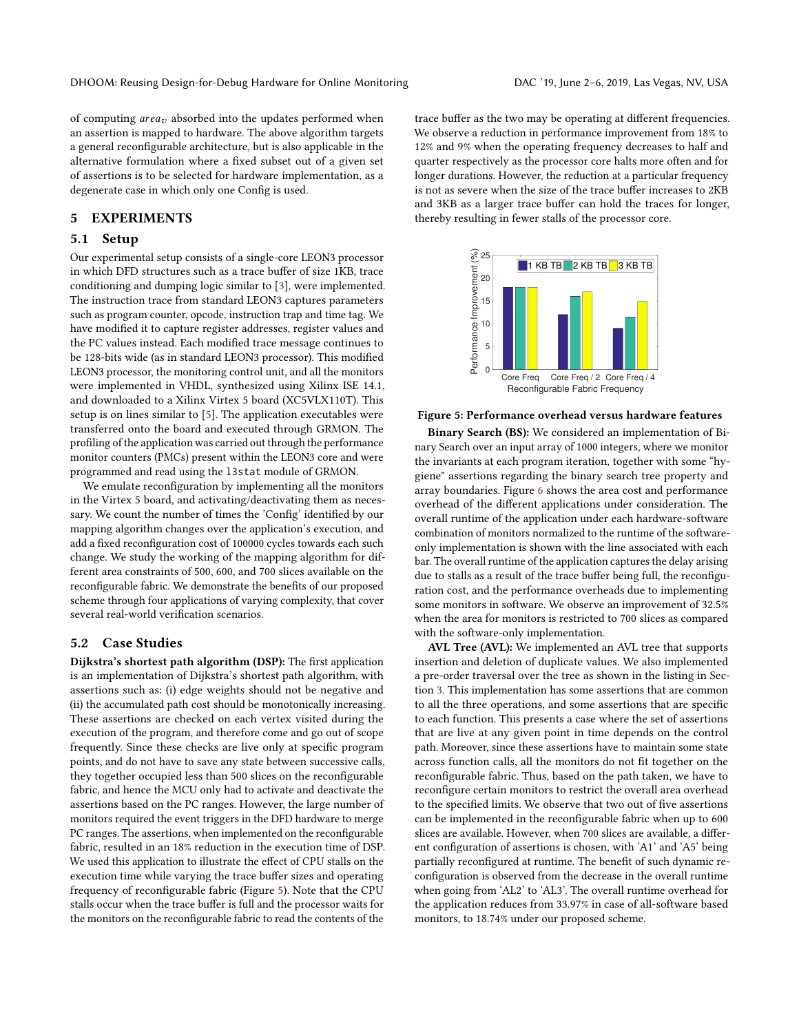of computing  $area_v$  absorbed into the updates performed when an assertion is mapped to hardware. The above algorithm targets a general reconfigurable architecture, but is also applicable in the alternative formulation where a fixed subset out of a given set of assertions is to be selected for hardware implementation, as a degenerate case in which only one Config is used.

# <span id="page-4-0"></span>5 EXPERIMENTS

#### 5.1 Setup

Our experimental setup consists of a single-core LEON3 processor in which DFD structures such as a trace buffer of size 1KB, trace conditioning and dumping logic similar to [\[3\]](#page-5-16), were implemented. The instruction trace from standard LEON3 captures parameters such as program counter, opcode, instruction trap and time tag. We have modified it to capture register addresses, register values and the PC values instead. Each modified trace message continues to be 128-bits wide (as in standard LEON3 processor). This modified LEON3 processor, the monitoring control unit, and all the monitors were implemented in VHDL, synthesized using Xilinx ISE 14.1, and downloaded to a Xilinx Virtex 5 board (XC5VLX110T). This setup is on lines similar to [\[5\]](#page-5-10). The application executables were transferred onto the board and executed through GRMON. The profiling of the application was carried out through the performance monitor counters (PMCs) present within the LEON3 core and were programmed and read using the l3stat module of GRMON.

We emulate reconfiguration by implementing all the monitors in the Virtex 5 board, and activating/deactivating them as necessary. We count the number of times the 'Config' identified by our mapping algorithm changes over the application's execution, and add a fixed reconfiguration cost of 100000 cycles towards each such change. We study the working of the mapping algorithm for different area constraints of 500, 600, and 700 slices available on the reconfigurable fabric. We demonstrate the benefits of our proposed scheme through four applications of varying complexity, that cover several real-world verification scenarios.

## 5.2 Case Studies

Dijkstra's shortest path algorithm (DSP): The first application is an implementation of Dijkstra's shortest path algorithm, with assertions such as: (i) edge weights should not be negative and (ii) the accumulated path cost should be monotonically increasing. These assertions are checked on each vertex visited during the execution of the program, and therefore come and go out of scope frequently. Since these checks are live only at specific program points, and do not have to save any state between successive calls, they together occupied less than 500 slices on the reconfigurable fabric, and hence the MCU only had to activate and deactivate the assertions based on the PC ranges. However, the large number of monitors required the event triggers in the DFD hardware to merge PC ranges. The assertions, when implemented on the reconfigurable fabric, resulted in an 18% reduction in the execution time of DSP. We used this application to illustrate the effect of CPU stalls on the execution time while varying the trace buffer sizes and operating frequency of reconfigurable fabric (Figure [5\)](#page-4-1). Note that the CPU stalls occur when the trace buffer is full and the processor waits for the monitors on the reconfigurable fabric to read the contents of the

trace buffer as the two may be operating at different frequencies. We observe a reduction in performance improvement from 18% to 12% and 9% when the operating frequency decreases to half and quarter respectively as the processor core halts more often and for longer durations. However, the reduction at a particular frequency is not as severe when the size of the trace buffer increases to 2KB and 3KB as a larger trace buffer can hold the traces for longer, thereby resulting in fewer stalls of the processor core.

<span id="page-4-1"></span>

#### Figure 5: Performance overhead versus hardware features

Binary Search (BS): We considered an implementation of Binary Search over an input array of 1000 integers, where we monitor the invariants at each program iteration, together with some "hygiene" assertions regarding the binary search tree property and array boundaries. Figure [6](#page-5-19) shows the area cost and performance overhead of the different applications under consideration. The overall runtime of the application under each hardware-software combination of monitors normalized to the runtime of the softwareonly implementation is shown with the line associated with each bar. The overall runtime of the application captures the delay arising due to stalls as a result of the trace buffer being full, the reconfiguration cost, and the performance overheads due to implementing some monitors in software. We observe an improvement of 32.5% when the area for monitors is restricted to 700 slices as compared with the software-only implementation.

AVL Tree (AVL): We implemented an AVL tree that supports insertion and deletion of duplicate values. We also implemented a pre-order traversal over the tree as shown in the listing in Section [3.](#page-1-2) This implementation has some assertions that are common to all the three operations, and some assertions that are specific to each function. This presents a case where the set of assertions that are live at any given point in time depends on the control path. Moreover, since these assertions have to maintain some state across function calls, all the monitors do not fit together on the reconfigurable fabric. Thus, based on the path taken, we have to reconfigure certain monitors to restrict the overall area overhead to the specified limits. We observe that two out of five assertions can be implemented in the reconfigurable fabric when up to 600 slices are available. However, when 700 slices are available, a different configuration of assertions is chosen, with 'A1' and 'A5' being partially reconfigured at runtime. The benefit of such dynamic reconfiguration is observed from the decrease in the overall runtime when going from 'AL2' to 'AL3'. The overall runtime overhead for the application reduces from 33.97% in case of all-software based monitors, to 18.74% under our proposed scheme.